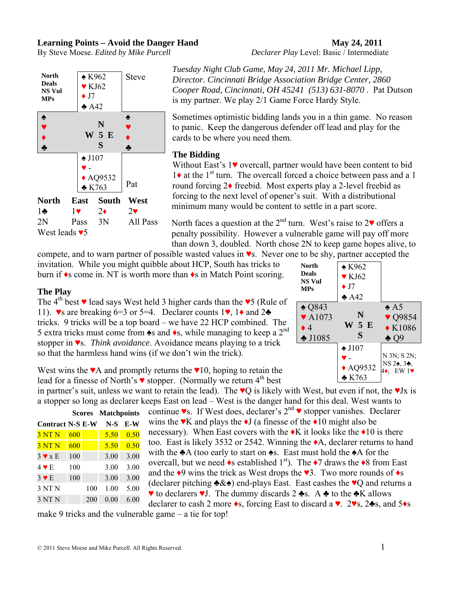#### **Learning Points – Avoid the Danger Hand May 24, 2011**

By Steve Moese. *Edited by Mike Purcell Declarer Play* Level: Basic / Intermediate



*Tuesday Night Club Game, May 24, 2011 Mr. Michael Lipp, Director. Cincinnati Bridge Association Bridge Center, 2860 Cooper Road, Cincinnati, OH 45241 (513) 631-8070* . Pat Dutson is my partner. We play 2/1 Game Force Hardy Style.

Sometimes optimistic bidding lands you in a thin game. No reason to panic. Keep the dangerous defender off lead and play for the cards to be where you need them.

### **The Bidding**

Without East's 1♥ overcall, partner would have been content to bid  $1\bullet$  at the 1<sup>st</sup> turn. The overcall forced a choice between pass and a 1 round forcing 2♦ freebid. Most experts play a 2-level freebid as forcing to the next level of opener's suit. With a distributional minimum many would be content to settle in a part score.

North faces a question at the  $2<sup>nd</sup>$  turn. West's raise to  $2<sup>v</sup>$  offers a penalty possibility. However a vulnerable game will pay off more than down 3, doubled. North chose 2N to keep game hopes alive, to

compete, and to warn partner of possible wasted values in ♥s. Never one to be shy, partner accepted the invitation. While you might quibble about HCP, South has tricks to burn if ♦s come in. NT is worth more than ♦s in Match Point scoring.

#### **The Play**

The 4<sup>th</sup> best  $\blacktriangledown$  lead says West held 3 higher cards than the  $\blacktriangledown$ 5 (Rule of 11).  $\bullet$ s are breaking 6=3 or 5=4. Declarer counts 1 $\bullet$ , 1 $\bullet$  and 2 $\bullet$ tricks. 9 tricks will be a top board – we have 22 HCP combined. The 5 extra tricks must come from  $\triangle$ s and  $\triangle$ s, while managing to keep a 2<sup>nd</sup> stopper in ♥s. *Think avoidance*. Avoidance means playing to a trick so that the harmless hand wins (if we don't win the trick).

West wins the  $\mathbf{v}$ A and promptly returns the  $\mathbf{v}$ 10, hoping to retain the lead for a finesse of North's ♥ stopper. (Normally we return 4<sup>th</sup> best

in partner's suit, unless we want to retain the lead). The  $\vee$ Q is likely with West, but even if not, the  $\vee$ Jx is a stopper so long as declarer keeps East on lead – West is the danger hand for this deal. West wants to continue  $\bullet$ s. If West does, declarer's 2<sup>nd</sup>  $\bullet$  stopper vanishes. Declarer **Scores Matchpoints** 

|                         | scores |     | <b>NIAICHPOINIS</b> |      |  |
|-------------------------|--------|-----|---------------------|------|--|
| <b>Contract N-S E-W</b> |        |     | $N-S$               | E-W  |  |
| 3 NT N                  | 600    |     | 5.50                | 0.50 |  |
| 3 NT N                  | 600    |     | 5.50                | 0.50 |  |
| $3 \vee x E$            | 100    |     | 3.00                | 3.00 |  |
| $4 \vee E$              | 100    |     | 3.00                | 3.00 |  |
| $3 \vee E$              | 100    |     | 3.00                | 3.00 |  |
| 3 NT N                  |        | 100 | 1.00                | 5.00 |  |
| 3 NT N                  |        | 200 | 0.00                | 6.00 |  |

wins the  $\mathbf{V}$  and plays the  $\mathbf{\bullet}$  I (a finesse of the  $\mathbf{\bullet}$  10 might also be necessary). When East covers with the  $\triangleleft K$  it looks like the  $\triangleleft 10$  is there too. East is likely 3532 or 2542. Winning the ♦A, declarer returns to hand with the  $\triangle A$  (too early to start on  $\triangle A$ . East must hold the  $\triangle A$  for the overcall, but we need  $\bullet$ s established 1<sup>st</sup>). The  $\bullet$ 7 draws the  $\bullet$ 8 from East and the  $\triangleleft 9$  wins the trick as West drops the  $\triangleleft 3$ . Two more rounds of  $\triangleleft$ s (declarer pitching  $\triangle \& \diamond$ ) end-plays East. East cashes the  $\vee$ Q and returns a ♥ to declarers ♥J. The dummy discards 2 ♣s. A ♣ to the ♣K allows declarer to cash 2 more ♦s, forcing East to discard a ♥. 2♥s, 2♣s, and 5♦s

make 9 tricks and the vulnerable game – a tie for top!

| <b>North</b><br><b>Deals</b><br><b>NS Vul</b><br><b>MPs</b>                        | $\triangle$ K962<br>$\blacktriangledown$ KJ62<br>$\bullet$ J7<br>A42 |                                                                                     |  |  |  |
|------------------------------------------------------------------------------------|----------------------------------------------------------------------|-------------------------------------------------------------------------------------|--|--|--|
| $\triangle$ Q843<br>$\blacktriangledown$ A1073<br>$\bullet$ 4<br>$\clubsuit$ J1085 | N<br>W 5 E<br>S                                                      | $\triangle$ A5<br>$\blacktriangledown$ Q9854<br>$\triangle$ K1086<br>$\clubsuit$ O9 |  |  |  |
|                                                                                    | $\triangle$ J107<br>$\triangle$ AQ9532<br>$\triangle$ K763           | N 3N; S 2N;<br>NS 24, 34,<br>EW1<br>4♦.                                             |  |  |  |